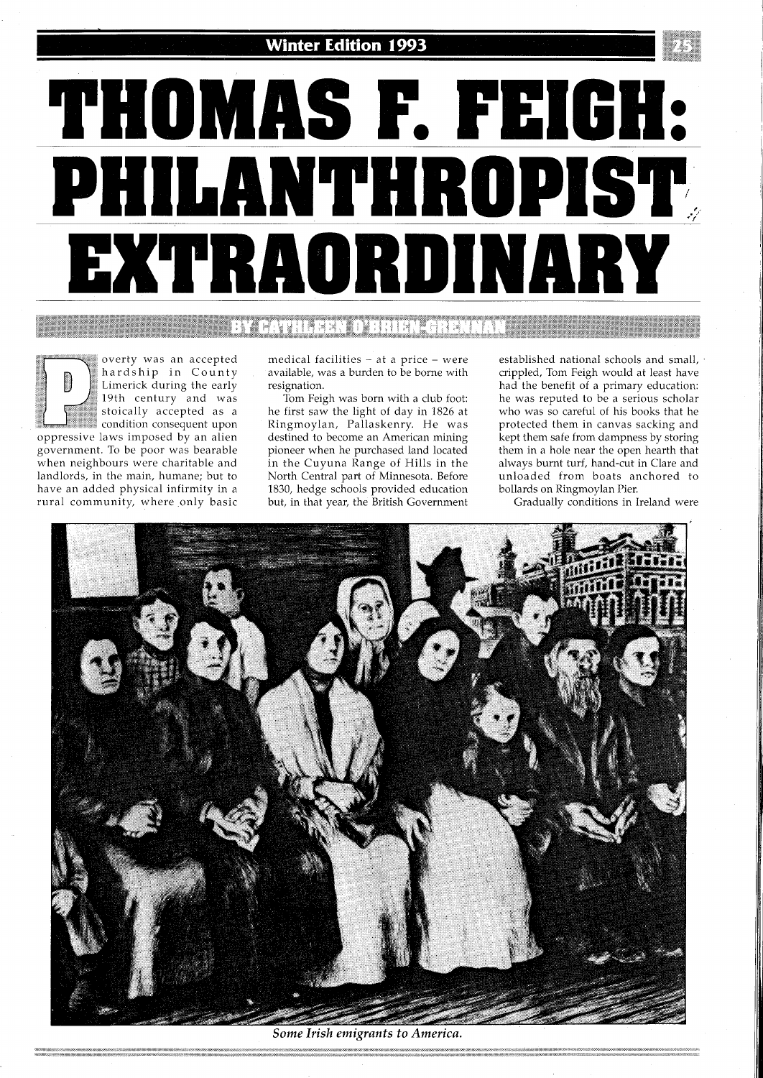

**BY CATHLEEN O'BRIEN-GRENNAN** 

overty was an accepted : hardship in County Limerick during the early<br>19th century and was stoically accepted as a  $\frac{1}{2}$  condition consequent upon oppressive laws imposed by an alien government. To be poor was bearable when neighbours were charitable and landlords, in the main, humane; but to have an added physical infirmity in a rural community, where only basic medical facilities - at a price - were available, was a burden to be borne with resignation.

Tom Feigh was born with a club foot: he first saw the light of day in 1826 at Ringmoylan, Pallaskenry. He was destined to become an American mining pioneer when he purchased land located in the Cuyuna Range of Hills in the North Central part of Minnesota. Before 1830, hedge schools provided education but, in that year, the British Government established national schools and small, crippled, Tom Feigh would at least have had the benefit of a primary education: he was reputed to be a serious scholar who was so careful of his books that he protected them in canvas sacking and kept them safe from dampness by storing them in a hole near the open hearth that always burnt turf, hand-cut in Clare and unloaded from boats anchored to bollards on Ringmoylan Pier.

Gradually conditions in Ireland were



Some Irish emigrants to America.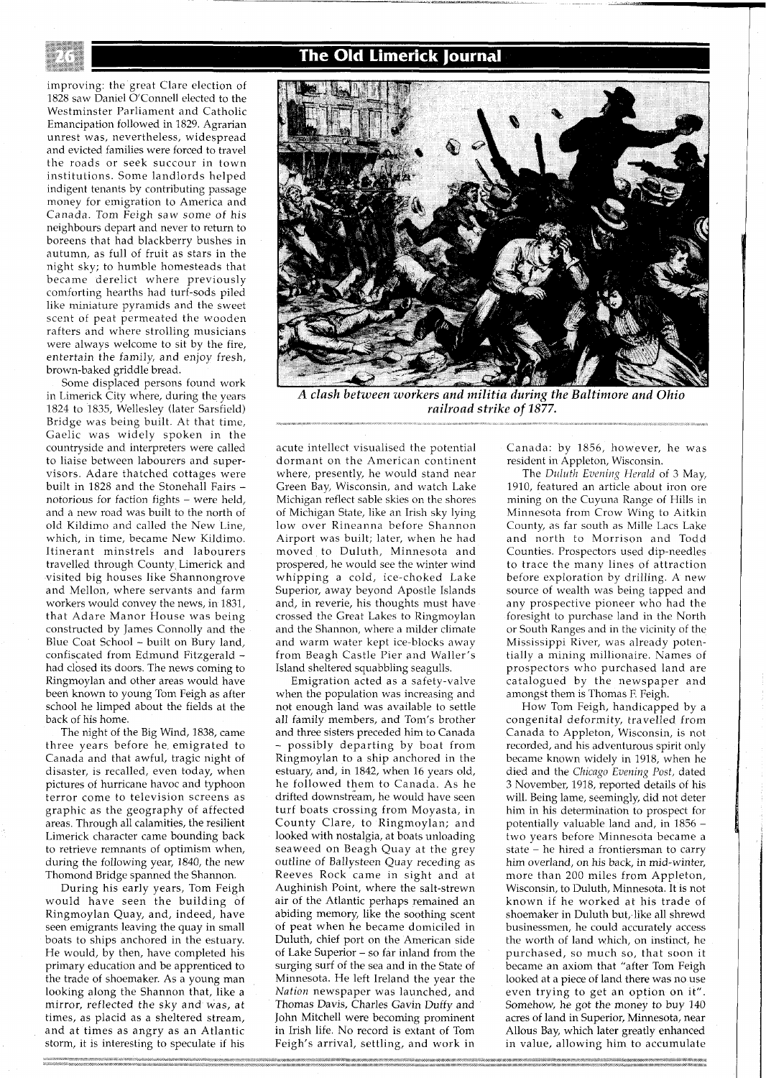The Old Limerick Journal

improving: the great Clare election of 1828 saw Daniel O'Connell elected to the Westminster Parliament and Catholic Emancipation followed in 1829. Agrarian unrest was, nevertheless, widespread and evicted families were forced to travel the roads or seek succour in town institutions. Some landlords helped indigent tenants by contributing passage money for emigration to America and Canada. Tom Feigh saw some of his neighbours depart and never to return to boreens that had blackberry bushes in autumn, as full of fruit as stars in the night sky; to humble homesteads that became derelict where previously comforting hearths had turf-sods piled like miniature pyramids and the sweet scent of peat permeated the wooden rafters and where strolling musicians were always welcome to sit by the fire, entertain the family, and enjoy fresh, brown-baked griddle bread.

Some displaced persons found work in Limerick City where, during the years 1824 to 1835, Wellesley (later Sarsfield) Bridge was being built. At that time, Gaelic was widely spoken in the countryside and interpreters were called to liaise between labourers and supervisors. Adare thatched cottages were built in 1828 and the Stonehall Fairs notorious for faction fights - were held, and a new road was built to the north of old Kildimo and called the New Line, which, in time, became New Kildimo. Itinerant minstrels and labourers travelled through County Limerick and visited big houses like Shannongrove and Mellon, where servants and farm workers would convey the news, In 1831, that Adare Manor House was being constructed by James Connolly and the Blue Coat School - built on Bury land, confiscated from Edmund Fitzgerald had closed its doors The news coming to Ringmoylan and other areas would have been known to young Tom Feigh as after school he limped about the fields at the back of his home

The night of the Big Wind, 1838, came three years before he emigrated to Canada and that awful, tragic night of disaster, is recalled, even today, when pictures of hurricane havoc and typhoon terror come to television screens as graphic as the geography of affected areas. Through all calamities, the resilient Limerick character came bounding back to retrieve remnants of optimism when, during the following year, 1840, the new Thomond Bridge spanned the Shannon.

During his early years, Tom Feigh would have seen the building of Ringmoylan Quay, and, indeed, have seen emigrants leaving the quay in small boats to ships anchored in the estuary. He would, by then, have completed his primary education and be apprenticed to the trade of shoemaker. As a young man looking along the Shannon that, like a mirror, reflected the sky and was, at times, as placid as a sheltered stream, and at times as angry as an Atlantic storm, it is interesting to speculate if his



*A clash between workers and militia during the Baltimore and Ohio railroad strike of 1877.* 

acute intellect visualised the potential dormant on the American continent where, presently, he would stand near Green Bay, Wisconsin, and watch Lake Michigan reflect sable skies on the shores of Michigan State, like an Irish sky lying low over Rineanna before Shannon Airport was built; later, when he had moved to Duluth, Minnesota and prospered, he would see the winter wind whipping a cold, ice-choked Lake Superior, away beyond Apostle Islands and, in reverie, his thoughts must have crossed the Great Lakes to Ringmoylan and the Shannon, where a milder climate and warm water kept ice-blocks away from Beagh Castle Pier and Waller's Island sheltered squabbling seagulls.

Emigration acted as a safety-valve when the population was increasing and not enough land was available to settle all family members, and Tom's brother and three sisters preceded him to Canada - possibly departing by boat from Ringmoylan to a ship anchored in the estuary, and, in 1842, when 16 years old, he followed them to Canada. As he drifted downstream, he would have seen turf boats crossing from Moyasta, in County Clare, to Ringmoylan; and looked with nostalgia, at boats unloading seaweed on Beagh Quay at the grey outline of Ballysteen Quay receding as Reeves Rock came in sight and at Aughinish Point, where the salt-strewn air of the Atlantic perhaps remained an abiding memory, like the soothing scent of peat when he became domiciled in Duluth, chief port on the American side of Lake Superior - so far inland from the surging surf of the sea and in the State of Minnesota. He left Ireland the year the *Nation* newspaper was launched, and Thomas Davis, Charles Gavin Duffy and John Mitchell were becoming prominent in Irish life. No record is extant of Tom Feigh's arrival, settling, and work in

Canada: by 1856, however, he was resident in Appleton, Wisconsin.

The *Duluth Evening Herald* of 3 May, 1910, featured an article about iron ore mining on the Cuyuna Range of Hills in Minnesota from Crow Wing to Aitkin County, as far south as Mille Lacs Lake and north to Morrison and Todd Counties. Prospectors used dip-needles to trace the many lines of aitraction before exploration by drilling. A new source of wealth was being tapped and any prospective pioneer who had the foresight to purchase land in the North or South Ranges and in the vicinity of the Mississippi River, was already potentially a mining millionaire. Names of prospectors who purchased land are catalogued by the newspaper and amongst them is Thomas F. Feigh.

How Tom Feigh, handicapped by a congenital deformity, travelled from Canada to Appleton, Wisconsin, is not recorded, and his adventurous spirit only became known widely in 1918, when he died and the *Chicago Evening Post,* dated 3 November, 1918, reported details of his will. Being lame, seemingly, did not deter him in his determination to prospect for potentially valuable land and, in 1856 two years before Minnesota became a state  $-$  he hired a frontiersman to carry him overland, on his back, in mid-winter, more than 200 miles from Appleton, Wisconsin, to Duluth, Minnesota It is not known if he worked at his trade of shoemaker in Duluth but, like all shrewd businessmen, he could accurately access the worth of land which, on instinct, he purchased, so much so, that soon it became an axiom that "after Tom Feigh looked at a piece of land there was no use even trying to get an option on it". Somehow, he got the money to buy 140 acres of land in Superior, Minnesota, near Allous Bay, which later greatly enhanced in value, allowing him to accumulate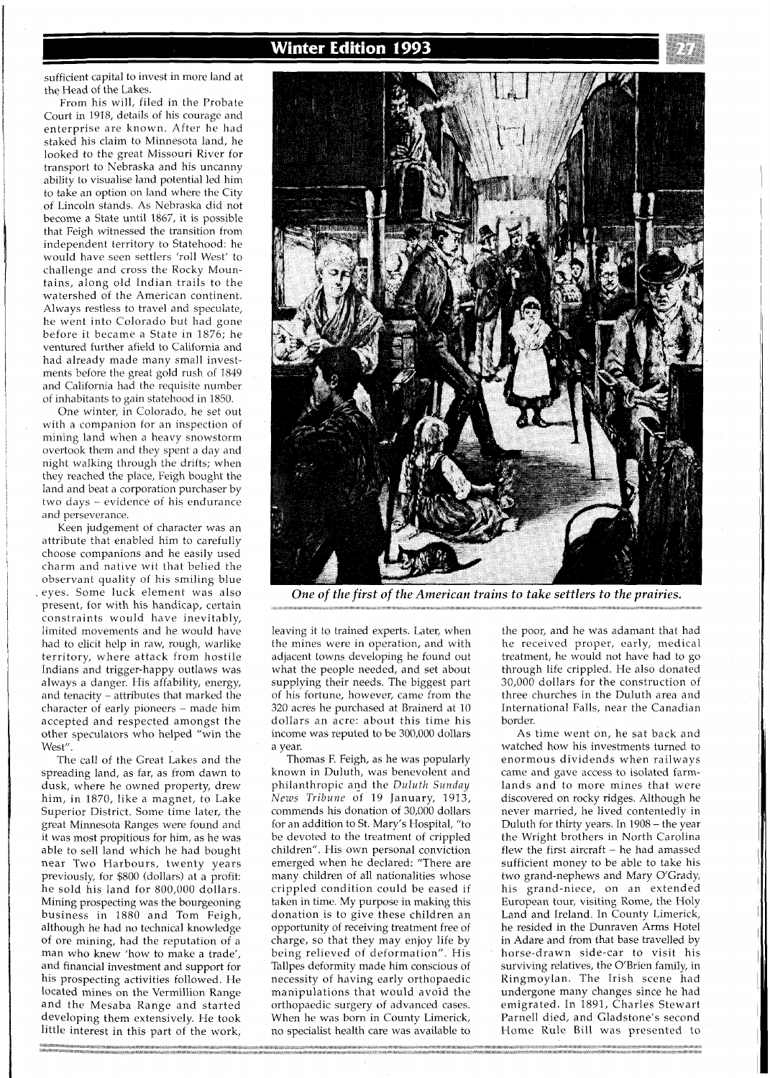

sufficient capital to invest in more land at the Head of the Lakes.

From his will, filed in the Probate Court in 1918, details of his courage and enterprise are known. After he had staked his claim to Minnesota land, he looked to the great Missouri River for transport to Nebraska and his uncanny ability to visualise land potential led him to take an option on land where the City of Lincoln stands. As Nebraska did not become a State until 1867, it is possible that Feigh witnessed the transition from independent territory to Statehood: he would have seen settlers 'roll West' to challenge and cross the Rocky Mountains, along old Indian trails to the watershed of the American continent. Always restless to travel and speculate, he went into Colorado but had gone before it became a State in 1876; he ventured further afield to California and had already made many small investments before the great gold rush of 1849 and California had the requisite number of inhabitants to gain statehood in 1850.

One winter, in Colorado, he set out with a companion for an inspection of mining land when a heavy snowstorm overtook them and they spent a day and night walking through the drifts; when they reached the place, Feigh bought the land and beat a corporation purchaser by two days - evidence of his endurance and perseverance.

Keen judgement of character was an attribute that enabled him to carefully choose companions and he easily used charm and native wit that belied the observant quality of his smiling blue eyes. Some luck element was also present, for with his handicap, certain constraints would have inevitably, limited movements and he would have had to elicit help in raw, rough, warlike territory, where attack from hostile Indians and trigger-happy outlaws was always a danger. His affability, energy, and tenacity - attributes that marked the character of early pioneers - made him accepted and respected amongst the other speculators who helped "win the West".

The call of the Great Lakes and the spreading land, as far, as from dawn to dusk, where he owned property, drew him, in 1870, like a magnet, to Lake Superior District. Some time later, the great Minnesota Ranges were found and it was most propitious for him, as he was able to sell land which he had bought near Two Harbours, twenty years previously, for \$800 (dollars) at a profit: he sold his land for 800,000 dollars. Mining prospecting was the bourgeoning business in 1880 and Tom Feigh, although he had no technical knowledge of ore mining, had the reputation of a man who knew 'how to make a trade', and financial investment and support for his prospecting activities followed. He located mines on the Vermillion Range and the Mesaba Range and started developing them extensively. He took little interest in this part of the work,

.<br>1990 - Paris III, markaran masjid na masjid na masjid na masjid na masjid na masjid na masjid na masjid na mas<br>1990 - Paris II, masjid na masjid na masjid na masjid na masjid na masjid na masjid na masjid na masjid na ma



One of the first of the American trains to take settlers to the prairies.

leaving it to trained experts. Later, when the mines were in operation, and with adjacent towns developing he found out what the people needed, and set about supplying their needs. The biggest part of his fortune, however, came from the 320 acres he purchased at Brainerd at 10 dollars an acre: about this time his income was reputed to be 300,000 dollars a year.

Thomas F. Feigh, as he was popularly known in Duluth, was benevolent and philanthropic and the *Duluth Sunday Nezus Tribune* of 19 January, 1913, commends his donation of 30,000 dollars for an addition to St. Mary's Hospital, "to be devoted to the treatment of crippled children". His own personal conviction emerged when he declared: "There are many children of all nationalities whose crippled condition could be eased if taken in time. My purpose in making this donation is to give these children an opportunity of receiving treatment free of charge, so that they may enjoy life by being relieved of deformation". His Tallpes deformity made him conscious of necessity of having early orthopaedic manipulations that would avoid the orthopaedic surgery of advanced cases. When he was born in County Limerick, no specialist health care was available to the poor, and he was adamant that had he received proper, early, medical treatment, he would not have had to go through life crippled. He also donated 30,000 dollars for the construction of three churches in the Duluth area and International Falls, near the Canadian border.

As time went on, he sat back and watched how his investments turned to enormous dividends when railways came and gave access to isolated farmlands and to more mines that were discovered on rocky ridges. Although he never married, he lived contentedly in Duluth for thirty years. In 1908 – the year the Wright brothers in North Carolina flew the first aircraft - he had amassed sufficient money to be able to take his two grand-nephews and Mary O'Grady, his grand-niece, on an extended European tour, visiting Rome, the Holy Land and Ireland. In County Limerick, he resided in the Dunraven Arms Hotel in Adare and from that base travelled by horse-drawn side-car to visit his surviving relatives, the O'Brien family, in Ringmoylan. The Irish scene had undergone many changes since he had emigrated. In 1891, Charles Stewart Parnell died, and Gladstone's second Home Rule Bill was presented to